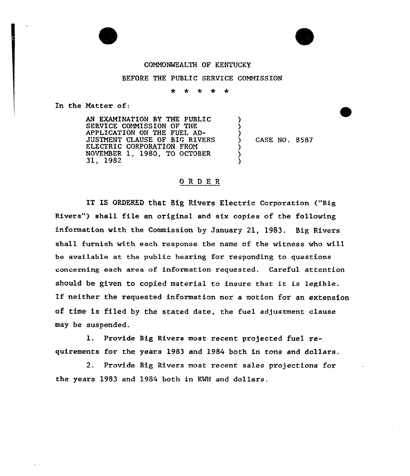

## CONNONWEALTH OF KENTUCKY

## BEFORE THE PUBLIC SERVICE COMMISSION

 $\ddot{\phantom{1}}$  $\star$  $\star$  $\star$ ∗

In the Matter of:

 $\omega$  ,  $\omega$  ,  $\omega$  ,  $\omega$ 

AN EXAMINATION BY THE PUBLIC SERVICE CONNISSION OF THE APPLICATION ON THE FUEL AD-JUSTNENT CLAUSE OF BIG RIVERS ELECTRIC CORPORATION FROM NOVENBER 1, 1980, TO OCTOBER 31, 1982 ) <u>ز</u> ) ) ) )

) CASE NO. 8587

## ORDER

IT IS ORDERED that Big Rivers Electric Corporation ("Big Rivers") shall file an original and six copies of the following information with the Commission by January 21, 1983. Big Rivers shall furnish with each response the name of the witness who will be available at the public hearing for responding to questions concerning each area of information requested. Careful attention should be given to copied material to insure that it is Legible. If neither the requested information nor <sup>a</sup> motion for an extension of time is filed by the stated date, the fuel adjustment clause may be suspended.

1. Provide Big Rivers most recent projected fuel requirements for the years 1983 and 1984 both in tons and dollars.

2. Provide Big Rivers most recent sales projections for the years 1983 and 1984 both in KWH and dollars.